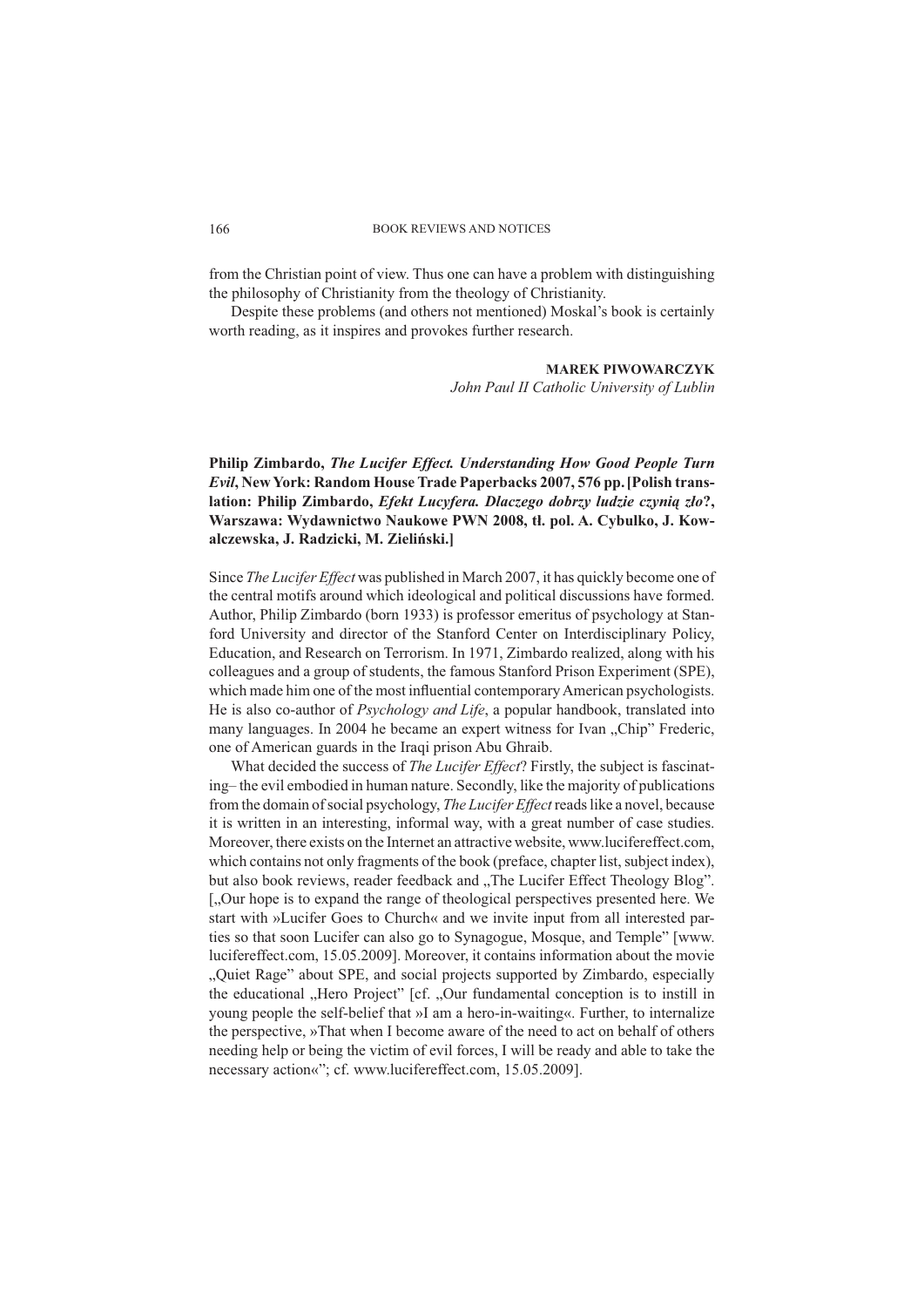#### BOOK REVIEWS AND NOTICES

from the Christian point of view. Thus one can have a problem with distinguishing the philosophy of Christianity from the theology of Christianity.

Despite these problems (and others not mentioned) Moskal's book is certainly worth reading, as it inspires and provokes further research.

## **MAREK PIWOWARCZYK**

*John Paul II Catholic University of Lublin*

**Philip Zimbardo,** *The Lucifer Effect. Understanding How Good People Turn Evil***, New York: Random House Trade Paperbacks 2007, 576 pp.[Polish translation: Philip Zimbardo,** *Efekt Lucyfera. Dlaczego dobrzy ludzie czynią zło***?, Warszawa: Wydawnictwo Naukowe PWN 2008, tł. pol. A. Cybulko, J. Kowalczewska, J. Radzicki, M. Zieliński.]**

Since *The Lucifer Effect* was published in March 2007, it has quickly become one of the central motifs around which ideological and political discussions have formed. Author, Philip Zimbardo (born 1933) is professor emeritus of psychology at Stanford University and director of the Stanford Center on Interdisciplinary Policy, Education, and Research on Terrorism. In 1971, Zimbardo realized, along with his colleagues and a group of students, the famous Stanford Prison Experiment (SPE), which made him one of the most influential contemporary American psychologists. He is also co-author of *Psychology and Life*, a popular handbook, translated into many languages. In 2004 he became an expert witness for Ivan "Chip" Frederic, one of American guards in the Iraqi prison Abu Ghraib.

What decided the success of *The Lucifer Effect*? Firstly, the subject is fascinating– the evil embodied in human nature. Secondly, like the majority of publications from the domain of social psychology, *The Lucifer Effect* reads like a novel, because it is written in an interesting, informal way, with a great number of case studies. Moreover, there exists on the Internet an attractive website, www.lucifereffect.com, which contains not only fragments of the book (preface, chapter list, subject index), but also book reviews, reader feedback and "The Lucifer Effect Theology Blog". [, Our hope is to expand the range of theological perspectives presented here. We start with »Lucifer Goes to Church« and we invite input from all interested parties so that soon Lucifer can also go to Synagogue, Mosque, and Temple" [www. lucifereffect.com, 15.05.2009]. Moreover, it contains information about the movie "Quiet Rage" about SPE, and social projects supported by Zimbardo, especially the educational "Hero Project" [cf. "Our fundamental conception is to instill in young people the self-belief that »I am a hero-in-waiting«. Further, to internalize the perspective, »That when I become aware of the need to act on behalf of others needing help or being the victim of evil forces, I will be ready and able to take the necessary action«"; cf. www.lucifereffect.com, 15.05.2009].

166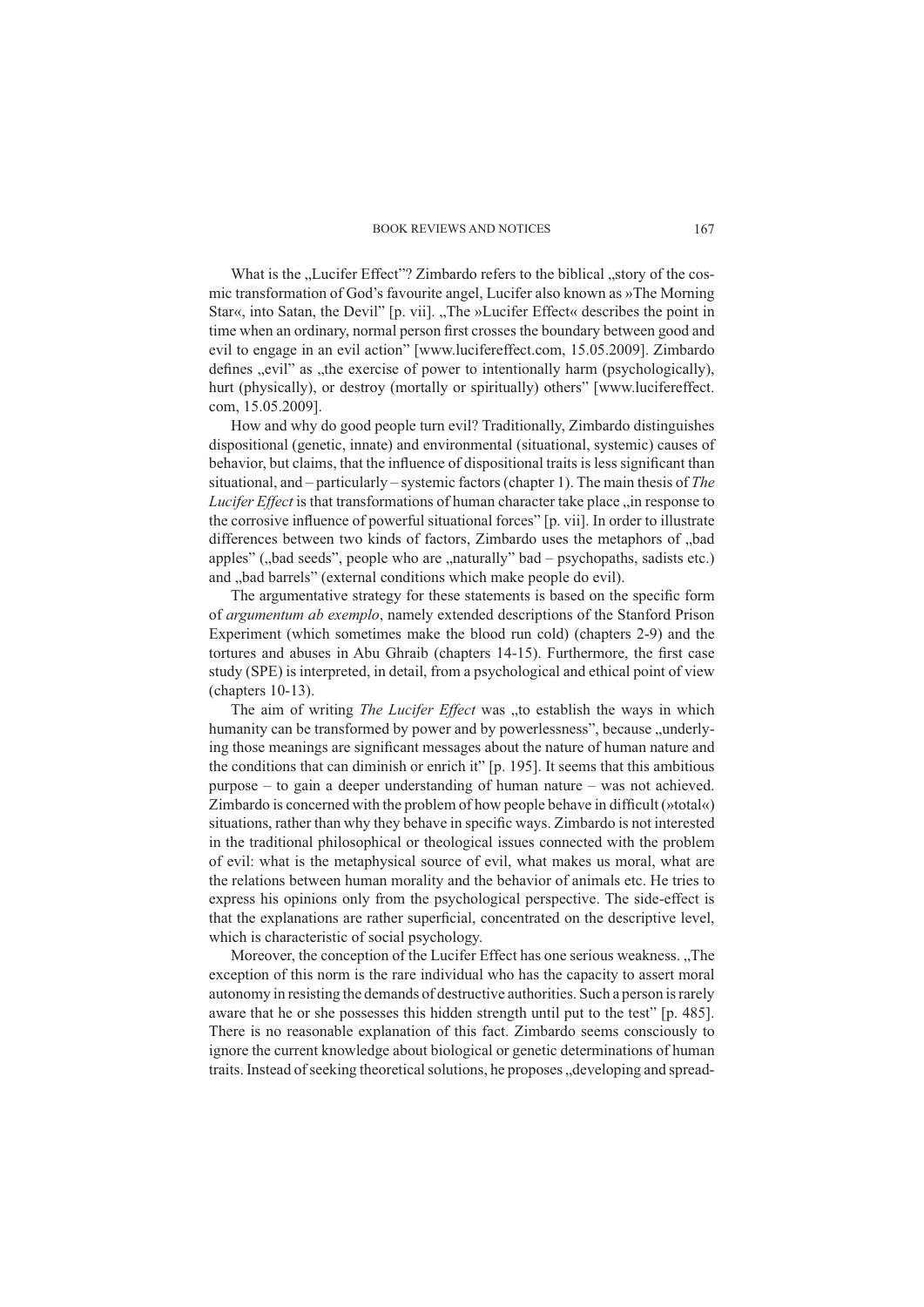#### BOOK REVIEWS AND NOTICES

What is the "Lucifer Effect"? Zimbardo refers to the biblical "story of the cosmic transformation of God's favourite angel, Lucifer also known as »The Morning Star«, into Satan, the Devil" [p. vii]. "The »Lucifer Effect« describes the point in time when an ordinary, normal person first crosses the boundary between good and evil to engage in an evil action" [www.lucifereffect.com, 15.05.2009]. Zimbardo defines ",evil" as ", the exercise of power to intentionally harm (psychologically), hurt (physically), or destroy (mortally or spiritually) others" [www.lucifereffect. com, 15.05.2009].

How and why do good people turn evil? Traditionally, Zimbardo distinguishes dispositional (genetic, innate) and environmental (situational, systemic) causes of behavior, but claims, that the influence of dispositional traits is less significant than situational, and – particularly – systemic factors (chapter 1). The main thesis of *The Lucifer Effect* is that transformations of human character take place "in response to the corrosive influence of powerful situational forces" [p. vii]. In order to illustrate differences between two kinds of factors, Zimbardo uses the metaphors of "bad apples" ("bad seeds", people who are "naturally" bad – psychopaths, sadists etc.) and "bad barrels" (external conditions which make people do evil).

The argumentative strategy for these statements is based on the specific form of *argumentum ab exemplo*, namely extended descriptions of the Stanford Prison Experiment (which sometimes make the blood run cold) (chapters 2-9) and the tortures and abuses in Abu Ghraib (chapters 14-15). Furthermore, the first case study (SPE) is interpreted, in detail, from a psychological and ethical point of view (chapters 10-13).

The aim of writing *The Lucifer Effect* was "to establish the ways in which humanity can be transformed by power and by powerlessness", because "underlying those meanings are significant messages about the nature of human nature and the conditions that can diminish or enrich it" [p. 195]. It seems that this ambitious purpose – to gain a deeper understanding of human nature – was not achieved. Zimbardo is concerned with the problem of how people behave in difficult (»total«) situations, rather than why they behave in specific ways. Zimbardo is not interested in the traditional philosophical or theological issues connected with the problem of evil: what is the metaphysical source of evil, what makes us moral, what are the relations between human morality and the behavior of animals etc. He tries to express his opinions only from the psychological perspective. The side-effect is that the explanations are rather superficial, concentrated on the descriptive level, which is characteristic of social psychology.

Moreover, the conception of the Lucifer Effect has one serious weakness. "The exception of this norm is the rare individual who has the capacity to assert moral autonomy in resisting the demands of destructive authorities. Such a person is rarely aware that he or she possesses this hidden strength until put to the test" [p. 485]. There is no reasonable explanation of this fact. Zimbardo seems consciously to ignore the current knowledge about biological or genetic determinations of human traits. Instead of seeking theoretical solutions, he proposes "developing and spread-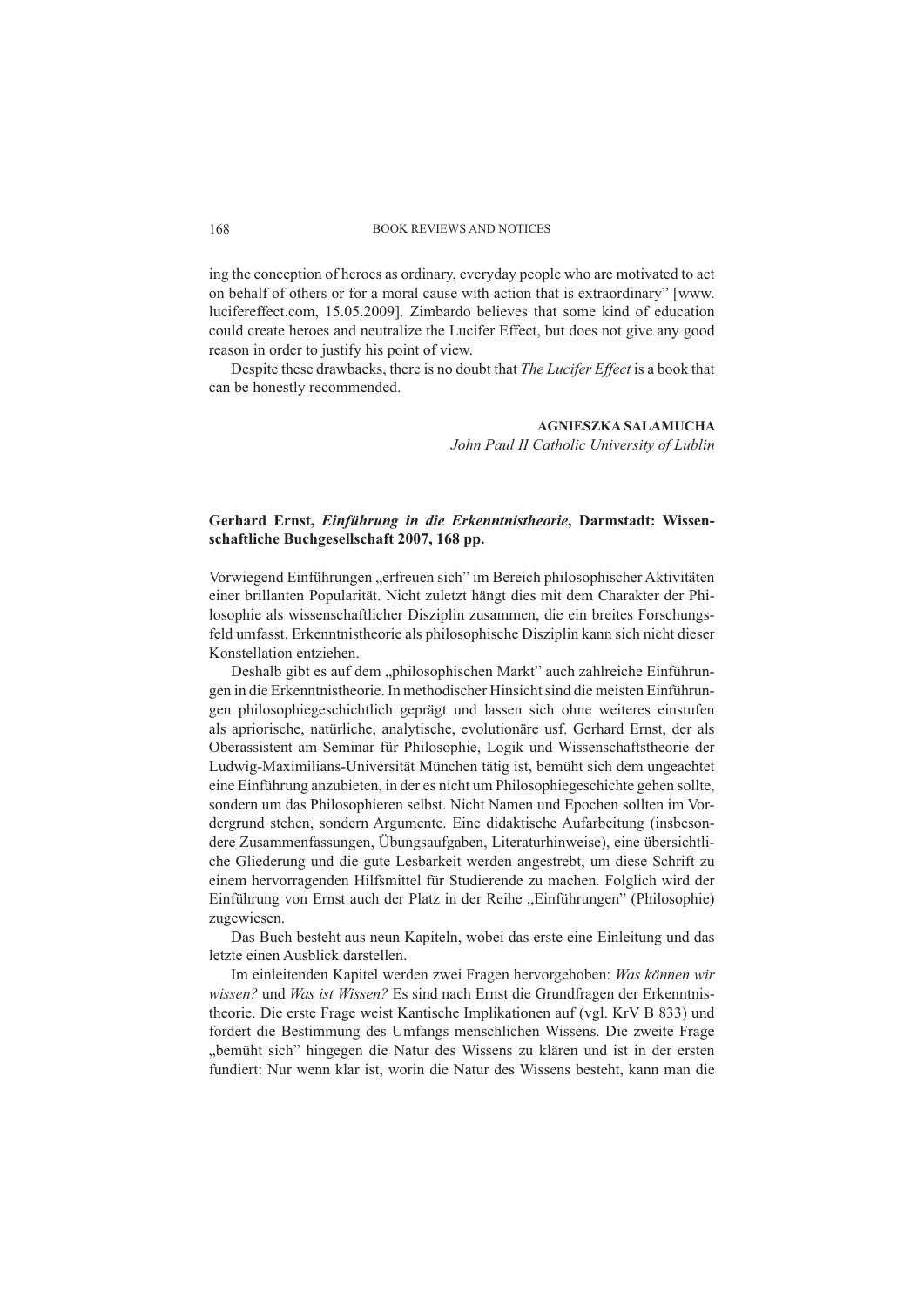#### BOOK REVIEWS AND NOTICES

ing the conception of heroes as ordinary, everyday people who are motivated to act on behalf of others or for a moral cause with action that is extraordinary" [www. lucifereffect.com, 15.05.2009]. Zimbardo believes that some kind of education could create heroes and neutralize the Lucifer Effect, but does not give any good reason in order to justify his point of view.

Despite these drawbacks, there is no doubt that *The Lucifer Effect* is a book that can be honestly recommended.

### **AGNIESZKA SALAMUCHA**

*John Paul II Catholic University of Lublin*

# **Gerhard Ernst,** *Einführung in die Erkenntnistheorie***, Darmstadt: Wissenschaftliche Buchgesellschaft 2007, 168 pp.**

Vorwiegend Einführungen "erfreuen sich" im Bereich philosophischer Aktivitäten einer brillanten Popularität. Nicht zuletzt hängt dies mit dem Charakter der Philosophie als wissenschaftlicher Disziplin zusammen, die ein breites Forschungsfeld umfasst. Erkenntnistheorie als philosophische Disziplin kann sich nicht dieser Konstellation entziehen.

Deshalb gibt es auf dem "philosophischen Markt" auch zahlreiche Einführungen in die Erkenntnistheorie. In methodischer Hinsicht sind die meisten Einführungen philosophiegeschichtlich geprägt und lassen sich ohne weiteres einstufen als apriorische, natürliche, analytische, evolutionäre usf. Gerhard Ernst, der als Oberassistent am Seminar für Philosophie, Logik und Wissenschaftstheorie der Ludwig-Maximilians-Universität München tätig ist, bemüht sich dem ungeachtet eine Einführung anzubieten, in der es nicht um Philosophiegeschichte gehen sollte, sondern um das Philosophieren selbst. Nicht Namen und Epochen sollten im Vordergrund stehen, sondern Argumente. Eine didaktische Aufarbeitung (insbesondere Zusammenfassungen, Übungsaufgaben, Literaturhinweise), eine übersichtliche Gliederung und die gute Lesbarkeit werden angestrebt, um diese Schrift zu einem hervorragenden Hilfsmittel für Studierende zu machen. Folglich wird der Einführung von Ernst auch der Platz in der Reihe "Einführungen" (Philosophie) zugewiesen.

Das Buch besteht aus neun Kapiteln, wobei das erste eine Einleitung und das letzte einen Ausblick darstellen.

Im einleitenden Kapitel werden zwei Fragen hervorgehoben: *Was können wir wissen?* und *Was ist Wissen?* Es sind nach Ernst die Grundfragen der Erkenntnistheorie. Die erste Frage weist Kantische Implikationen auf (vgl. KrV B 833) und fordert die Bestimmung des Umfangs menschlichen Wissens. Die zweite Frage "bemüht sich" hingegen die Natur des Wissens zu klären und ist in der ersten fundiert: Nur wenn klar ist, worin die Natur des Wissens besteht, kann man die

#### 168